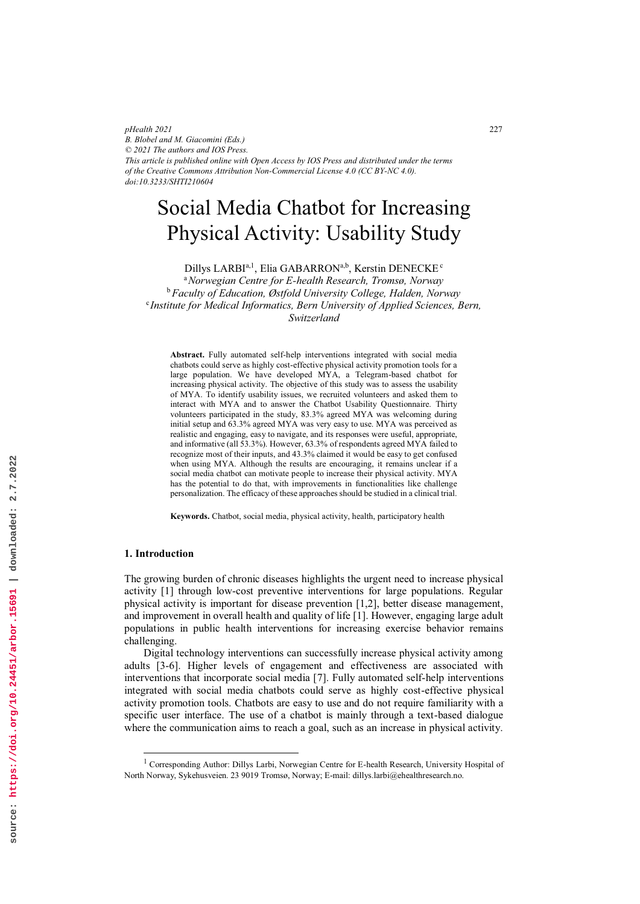*pHealth 2021 B. Blobel and M. Giacomini (Eds.) © 2021 The authors and IOS Press. This article is published online with Open Access by IOS Press and distributed under the terms of the Creative Commons Attribution Non-Commercial License 4.0 (CC BY-NC 4.0). doi:10.3233/SHTI210604*

# Social Media Chatbot for Increasing Physical Activity: Usability Study

Dillys LARBIª,<sup>1</sup>, Elia GABARRONª,<sup>b</sup>, Kerstin DENECKE*°* 

<sup>a</sup>*Norwegian Centre for E-health Research, Tromsø, Norway*  <sup>b</sup>*Faculty of Education, Østfold University College, Halden, Norway* <sup>c</sup> *Institute for Medical Informatics, Bern University of Applied Sciences, Bern, Switzerland* 

**Abstract.** Fully automated self-help interventions integrated with social media chatbots could serve as highly cost-effective physical activity promotion tools for a large population. We have developed MYA, a Telegram-based chatbot for increasing physical activity. The objective of this study was to assess the usability of MYA. To identify usability issues, we recruited volunteers and asked them to interact with MYA and to answer the Chatbot Usability Questionnaire. Thirty volunteers participated in the study, 83.3% agreed MYA was welcoming during initial setup and 63.3% agreed MYA was very easy to use. MYA was perceived as realistic and engaging, easy to navigate, and its responses were useful, appropriate, and informative (all 53.3%). However, 63.3% of respondents agreed MYA failed to recognize most of their inputs, and 43.3% claimed it would be easy to get confused when using MYA. Although the results are encouraging, it remains unclear if a social media chatbot can motivate people to increase their physical activity. MYA has the potential to do that, with improvements in functionalities like challenge personalization. The efficacy of these approaches should be studied in a clinical trial.

**Keywords.** Chatbot, social media, physical activity, health, participatory health

### **1. Introduction**

The growing burden of chronic diseases highlights the urgent need to increase physical activity [1] through low-cost preventive interventions for large populations. Regular physical activity is important for disease prevention [1,2], better disease management, and improvement in overall health and quality of life [1]. However, engaging large adult populations in public health interventions for increasing exercise behavior remains challenging.

Digital technology interventions can successfully increase physical activity among adults [3-6]. Higher levels of engagement and effectiveness are associated with interventions that incorporate social media [7]. Fully automated self-help interventions integrated with social media chatbots could serve as highly cost-effective physical activity promotion tools. Chatbots are easy to use and do not require familiarity with a specific user interface. The use of a chatbot is mainly through a text-based dialogue where the communication aims to reach a goal, such as an increase in physical activity.

<sup>|&</sup>lt;br>|<br>| <sup>1</sup> Corresponding Author: Dillys Larbi, Norwegian Centre for E-health Research, University Hospital of North Norway, Sykehusveien. 23 9019 Tromsø, Norway; E-mail: dillys.larbi@ehealthresearch.no.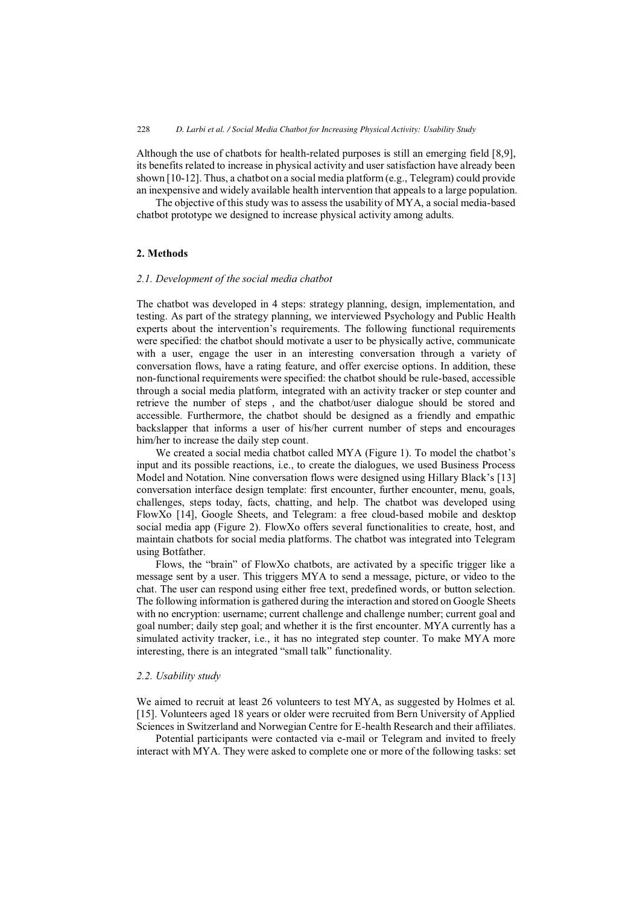Although the use of chatbots for health-related purposes is still an emerging field [8,9], its benefits related to increase in physical activity and user satisfaction have already been shown [10-12]. Thus, a chatbot on a social media platform (e.g., Telegram) could provide an inexpensive and widely available health intervention that appeals to a large population.

The objective of this study was to assess the usability of MYA, a social media-based chatbot prototype we designed to increase physical activity among adults.

# **2. Methods**

#### *2.1. Development of the social media chatbot*

The chatbot was developed in 4 steps: strategy planning, design, implementation, and testing. As part of the strategy planning, we interviewed Psychology and Public Health experts about the intervention's requirements. The following functional requirements were specified: the chatbot should motivate a user to be physically active, communicate with a user, engage the user in an interesting conversation through a variety of conversation flows, have a rating feature, and offer exercise options. In addition, these non-functional requirements were specified: the chatbot should be rule-based, accessible through a social media platform, integrated with an activity tracker or step counter and retrieve the number of steps , and the chatbot/user dialogue should be stored and accessible. Furthermore, the chatbot should be designed as a friendly and empathic backslapper that informs a user of his/her current number of steps and encourages him/her to increase the daily step count.

We created a social media chatbot called MYA (Figure 1). To model the chatbot's input and its possible reactions, i.e., to create the dialogues, we used Business Process Model and Notation. Nine conversation flows were designed using Hillary Black's [13] conversation interface design template: first encounter, further encounter, menu, goals, challenges, steps today, facts, chatting, and help. The chatbot was developed using FlowXo [14], Google Sheets, and Telegram: a free cloud-based mobile and desktop social media app (Figure 2). FlowXo offers several functionalities to create, host, and maintain chatbots for social media platforms. The chatbot was integrated into Telegram using Botfather.

Flows, the "brain" of FlowXo chatbots, are activated by a specific trigger like a message sent by a user. This triggers MYA to send a message, picture, or video to the chat. The user can respond using either free text, predefined words, or button selection. The following information is gathered during the interaction and stored on Google Sheets with no encryption: username; current challenge and challenge number; current goal and goal number; daily step goal; and whether it is the first encounter. MYA currently has a simulated activity tracker, i.e., it has no integrated step counter. To make MYA more interesting, there is an integrated "small talk" functionality.

## *2.2. Usability study*

We aimed to recruit at least 26 volunteers to test MYA, as suggested by Holmes et al. [15]. Volunteers aged 18 years or older were recruited from Bern University of Applied Sciences in Switzerland and Norwegian Centre for E-health Research and their affiliates.

Potential participants were contacted via e-mail or Telegram and invited to freely interact with MYA. They were asked to complete one or more of the following tasks: set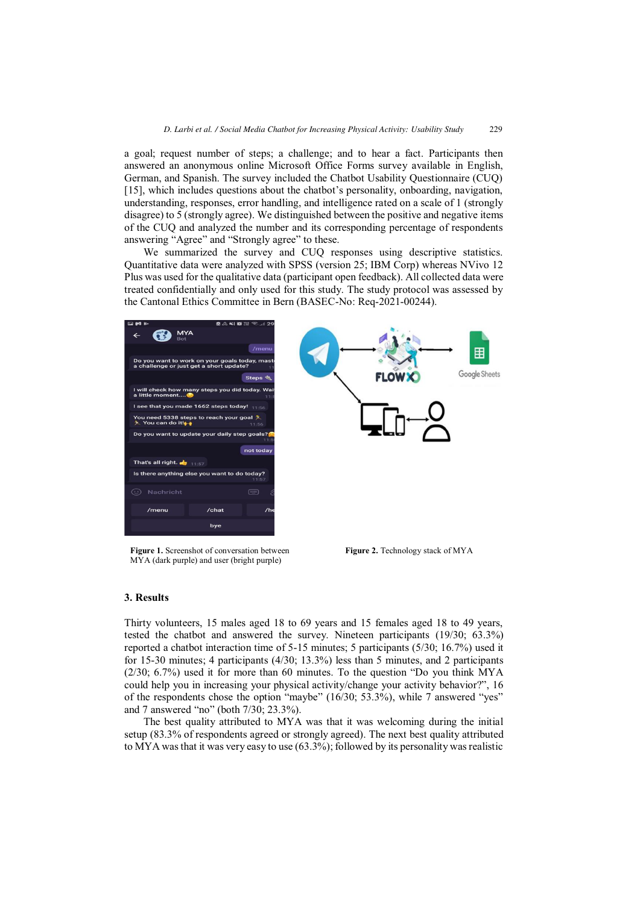a goal; request number of steps; a challenge; and to hear a fact. Participants then answered an anonymous online Microsoft Office Forms survey available in English, German, and Spanish. The survey included the Chatbot Usability Questionnaire (CUQ) [15], which includes questions about the chatbot's personality, onboarding, navigation, understanding, responses, error handling, and intelligence rated on a scale of 1 (strongly disagree) to 5 (strongly agree). We distinguished between the positive and negative items of the CUQ and analyzed the number and its corresponding percentage of respondents answering "Agree" and "Strongly agree" to these.

We summarized the survey and CUQ responses using descriptive statistics. Quantitative data were analyzed with SPSS (version 25; IBM Corp) whereas NVivo 12 Plus was used for the qualitative data (participant open feedback). All collected data were treated confidentially and only used for this study. The study protocol was assessed by the Cantonal Ethics Committee in Bern (BASEC-No: Req-2021-00244).



**Figure 1.** Screenshot of conversation between MYA (dark purple) and user (bright purple)

**Figure 2.** Technology stack of MYA

## **3. Results**

Thirty volunteers, 15 males aged 18 to 69 years and 15 females aged 18 to 49 years, tested the chatbot and answered the survey. Nineteen participants (19/30; 63.3%) reported a chatbot interaction time of 5-15 minutes; 5 participants (5/30; 16.7%) used it for 15-30 minutes; 4 participants (4/30; 13.3%) less than 5 minutes, and 2 participants  $(2/30; 6.7%)$  used it for more than 60 minutes. To the question "Do you think MYA could help you in increasing your physical activity/change your activity behavior?", 16 of the respondents chose the option "maybe" (16/30; 53.3%), while 7 answered "yes" and 7 answered "no" (both 7/30; 23.3%).

The best quality attributed to MYA was that it was welcoming during the initial setup (83.3% of respondents agreed or strongly agreed). The next best quality attributed to MYA was that it was very easy to use (63.3%); followed by its personality was realistic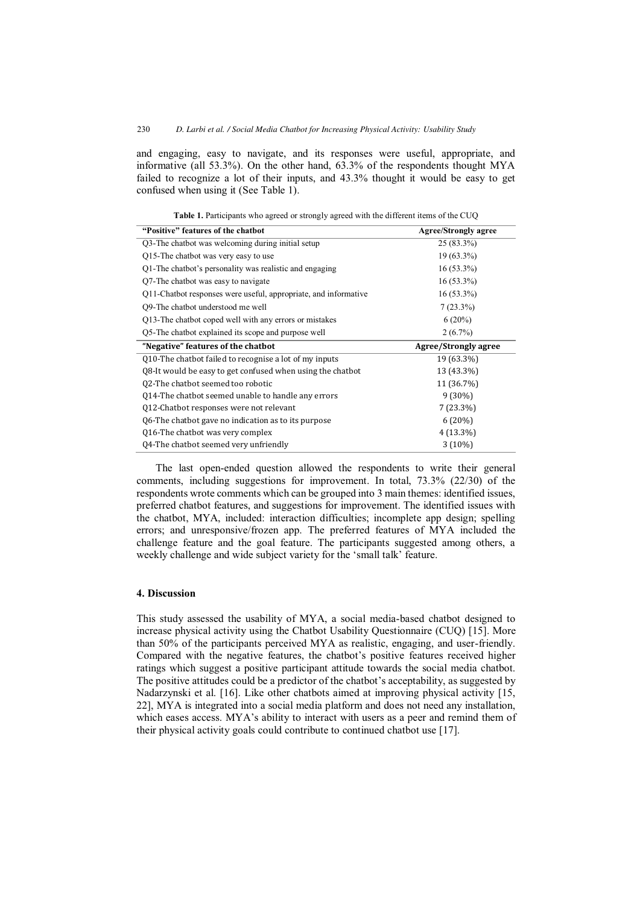and engaging, easy to navigate, and its responses were useful, appropriate, and informative (all 53.3%). On the other hand, 63.3% of the respondents thought MYA failed to recognize a lot of their inputs, and 43.3% thought it would be easy to get confused when using it (See Table 1).

| "Positive" features of the chathot                              | <b>Agree/Strongly agree</b> |
|-----------------------------------------------------------------|-----------------------------|
| Q3-The chatbot was welcoming during initial setup               | $25(83.3\%)$                |
| Q15-The chatbot was very easy to use                            | $19(63.3\%)$                |
| Q1-The chatbot's personality was realistic and engaging         | $16(53.3\%)$                |
| Q7-The chatbot was easy to navigate                             | $16(53.3\%)$                |
| Q11-Chatbot responses were useful, appropriate, and informative | $16(53.3\%)$                |
| Q9-The chatbot understood me well                               | $7(23.3\%)$                 |
| Q13-The chatbot coped well with any errors or mistakes          | $6(20\%)$                   |
| Q5-The chatbot explained its scope and purpose well             | $2(6.7\%)$                  |
| "Negative" features of the chatbot                              | Agree/Strongly agree        |
| Q10-The chatbot failed to recognise a lot of my inputs          | 19 (63.3%)                  |
| Q8-It would be easy to get confused when using the chatbot      | 13 (43.3%)                  |
|                                                                 |                             |
| Q2-The chatbot seemed too robotic                               | 11 (36.7%)                  |
| Q14-The chatbot seemed unable to handle any errors              | $9(30\%)$                   |
| Q12-Chatbot responses were not relevant                         | $7(23.3\%)$                 |
| Q6-The chatbot gave no indication as to its purpose             | 6(20%)                      |
| Q16-The chatbot was very complex                                | $4(13.3\%)$                 |

| Table 1. Participants who agreed or strongly agreed with the different items of the CUQ |  |  |
|-----------------------------------------------------------------------------------------|--|--|
|-----------------------------------------------------------------------------------------|--|--|

The last open-ended question allowed the respondents to write their general comments, including suggestions for improvement. In total, 73.3% (22/30) of the respondents wrote comments which can be grouped into 3 main themes: identified issues, preferred chatbot features, and suggestions for improvement. The identified issues with the chatbot, MYA, included: interaction difficulties; incomplete app design; spelling errors; and unresponsive/frozen app. The preferred features of MYA included the challenge feature and the goal feature. The participants suggested among others, a weekly challenge and wide subject variety for the 'small talk' feature.

# **4. Discussion**

This study assessed the usability of MYA, a social media-based chatbot designed to increase physical activity using the Chatbot Usability Questionnaire (CUQ) [15]. More than 50% of the participants perceived MYA as realistic, engaging, and user-friendly. Compared with the negative features, the chatbot's positive features received higher ratings which suggest a positive participant attitude towards the social media chatbot. The positive attitudes could be a predictor of the chatbot's acceptability, as suggested by Nadarzynski et al. [16]. Like other chatbots aimed at improving physical activity [15, 22], MYA is integrated into a social media platform and does not need any installation, which eases access. MYA's ability to interact with users as a peer and remind them of their physical activity goals could contribute to continued chatbot use [17].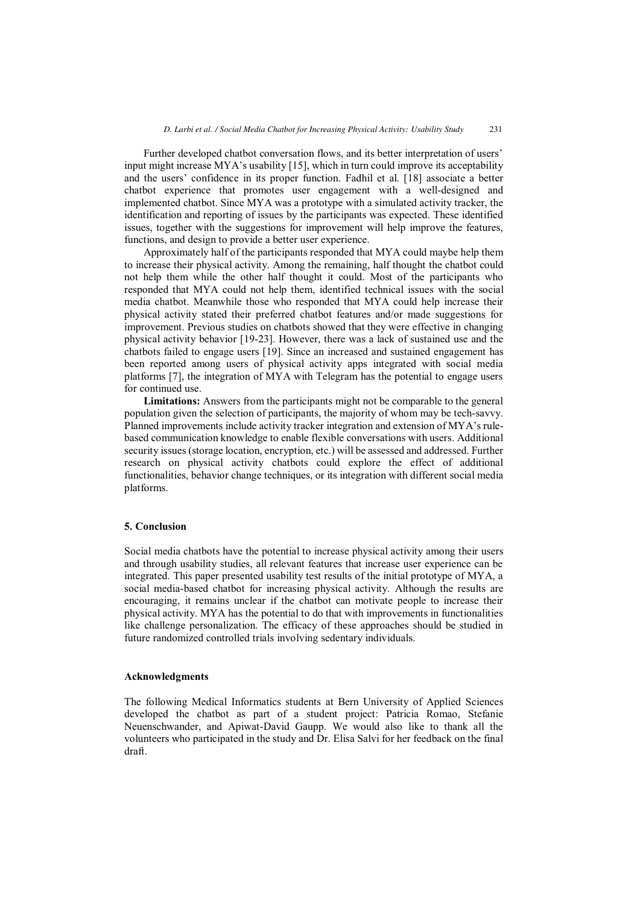Further developed chatbot conversation flows, and its better interpretation of users' input might increase MYA's usability [15], which in turn could improve its acceptability and the users' confidence in its proper function. Fadhil et al. [18] associate a better chatbot experience that promotes user engagement with a well-designed and implemented chatbot. Since MYA was a prototype with a simulated activity tracker, the identification and reporting of issues by the participants was expected. These identified issues, together with the suggestions for improvement will help improve the features, functions, and design to provide a better user experience.

Approximately half of the participants responded that MYA could maybe help them to increase their physical activity. Among the remaining, half thought the chatbot could not help them while the other half thought it could. Most of the participants who responded that MYA could not help them, identified technical issues with the social media chatbot. Meanwhile those who responded that MYA could help increase their physical activity stated their preferred chatbot features and/or made suggestions for improvement. Previous studies on chatbots showed that they were effective in changing physical activity behavior [19-23]. However, there was a lack of sustained use and the chatbots failed to engage users [19]. Since an increased and sustained engagement has been reported among users of physical activity apps integrated with social media platforms [7], the integration of MYA with Telegram has the potential to engage users for continued use.

**Limitations:** Answers from the participants might not be comparable to the general population given the selection of participants, the majority of whom may be tech-savvy. Planned improvements include activity tracker integration and extension of MYA's rulebased communication knowledge to enable flexible conversations with users. Additional security issues (storage location, encryption, etc.) will be assessed and addressed. Further research on physical activity chatbots could explore the effect of additional functionalities, behavior change techniques, or its integration with different social media platforms.

# **5. Conclusion**

Social media chatbots have the potential to increase physical activity among their users and through usability studies, all relevant features that increase user experience can be integrated. This paper presented usability test results of the initial prototype of MYA, a social media-based chatbot for increasing physical activity. Although the results are encouraging, it remains unclear if the chatbot can motivate people to increase their physical activity. MYA has the potential to do that with improvements in functionalities like challenge personalization. The efficacy of these approaches should be studied in future randomized controlled trials involving sedentary individuals.

#### **Acknowledgments**

The following Medical Informatics students at Bern University of Applied Sciences developed the chatbot as part of a student project: Patricia Romao, Stefanie Neuenschwander, and Apiwat-David Gaupp. We would also like to thank all the volunteers who participated in the study and Dr. Elisa Salvi for her feedback on the final draft.